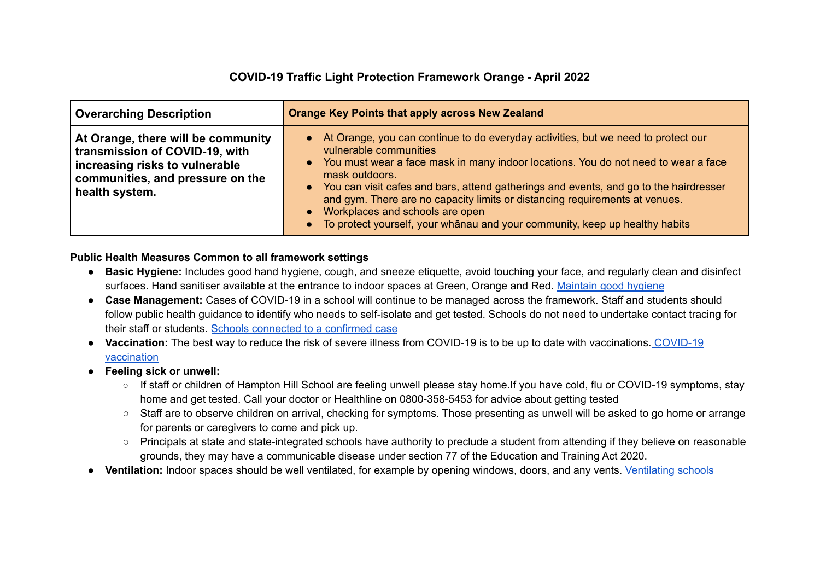## **COVID-19 Traffic Light Protection Framework Orange - April 2022**

| <b>Overarching Description</b>                                                                                                                               | <b>Orange Key Points that apply across New Zealand</b>                                                                                                                                                                                                                                                                                                                                                                                                                                                                  |
|--------------------------------------------------------------------------------------------------------------------------------------------------------------|-------------------------------------------------------------------------------------------------------------------------------------------------------------------------------------------------------------------------------------------------------------------------------------------------------------------------------------------------------------------------------------------------------------------------------------------------------------------------------------------------------------------------|
| At Orange, there will be community<br>transmission of COVID-19, with<br>increasing risks to vulnerable<br>communities, and pressure on the<br>health system. | • At Orange, you can continue to do everyday activities, but we need to protect our<br>vulnerable communities<br>• You must wear a face mask in many indoor locations. You do not need to wear a face<br>mask outdoors.<br>• You can visit cafes and bars, attend gatherings and events, and go to the hairdresser<br>and gym. There are no capacity limits or distancing requirements at venues.<br>• Workplaces and schools are open<br>• To protect yourself, your whanau and your community, keep up healthy habits |

## **Public Health Measures Common to all framework settings**

- **● Basic Hygiene:** Includes good hand hygiene, cough, and sneeze etiquette, avoid touching your face, and regularly clean and disinfect surfaces. Hand sanitiser available at the entrance to indoor spaces at Green, Orange and Red. [Maintain](https://covid19.govt.nz/prepare-and-stay-safe/keep-up-healthy-habits/) good hygiene
- **● Case Management:** Cases of COVID-19 in a school will continue to be managed across the framework. Staff and students should follow public health guidance to identify who needs to self-isolate and get tested. Schools do not need to undertake contact tracing for their staff or students. Schools [connected](https://temahau.govt.nz/covid-19/advice-schools-and-kura/schools-connected-confirmed-case) to a confirmed case
- **Vaccination:** The best way to reduce the risk of severe illness from COVID-19 is to be up to date with vaccinations. [COVID-19](https://covid19.govt.nz/covid-19-vaccines/how-to-get-a-covid-19-vaccination/) [vaccination](https://covid19.govt.nz/covid-19-vaccines/how-to-get-a-covid-19-vaccination/)
- **● Feeling sick or unwell:**
	- If staff or children of Hampton Hill School are feeling unwell please stay home.If you have cold, flu or COVID-19 symptoms, stay home and get tested. Call your doctor or Healthline on 0800-358-5453 for advice about getting tested
	- Staff are to observe children on arrival, checking for symptoms. Those presenting as unwell will be asked to go home or arrange for parents or caregivers to come and pick up.
	- Principals at state and state-integrated schools have authority to preclude a student from attending if they believe on reasonable grounds, they may have a communicable disease under section 77 of the Education and Training Act 2020.
- **● Ventilation:** Indoor spaces should be well ventilated, for example by opening windows, doors, and any vents. [Ventilating](https://temahau.govt.nz/covid-19/advice-schools-and-kura/ventilation-schools) schools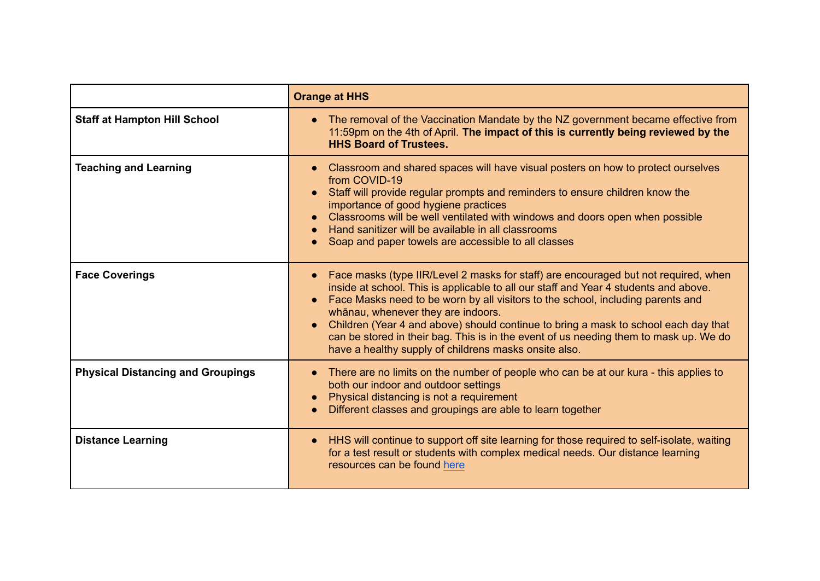|                                          | <b>Orange at HHS</b>                                                                                                                                                                                                                                                                                                                                                                                                                                                                                                                                       |
|------------------------------------------|------------------------------------------------------------------------------------------------------------------------------------------------------------------------------------------------------------------------------------------------------------------------------------------------------------------------------------------------------------------------------------------------------------------------------------------------------------------------------------------------------------------------------------------------------------|
| <b>Staff at Hampton Hill School</b>      | The removal of the Vaccination Mandate by the NZ government became effective from<br>11:59pm on the 4th of April. The impact of this is currently being reviewed by the<br><b>HHS Board of Trustees.</b>                                                                                                                                                                                                                                                                                                                                                   |
| <b>Teaching and Learning</b>             | Classroom and shared spaces will have visual posters on how to protect ourselves<br>from COVID-19<br>Staff will provide regular prompts and reminders to ensure children know the<br>$\bullet$<br>importance of good hygiene practices<br>Classrooms will be well ventilated with windows and doors open when possible<br>Hand sanitizer will be available in all classrooms<br>Soap and paper towels are accessible to all classes                                                                                                                        |
| <b>Face Coverings</b>                    | Face masks (type IIR/Level 2 masks for staff) are encouraged but not required, when<br>inside at school. This is applicable to all our staff and Year 4 students and above.<br>Face Masks need to be worn by all visitors to the school, including parents and<br>$\bullet$<br>whānau, whenever they are indoors.<br>Children (Year 4 and above) should continue to bring a mask to school each day that<br>can be stored in their bag. This is in the event of us needing them to mask up. We do<br>have a healthy supply of childrens masks onsite also. |
| <b>Physical Distancing and Groupings</b> | There are no limits on the number of people who can be at our kura - this applies to<br>both our indoor and outdoor settings<br>Physical distancing is not a requirement<br>Different classes and groupings are able to learn together                                                                                                                                                                                                                                                                                                                     |
| <b>Distance Learning</b>                 | HHS will continue to support off site learning for those required to self-isolate, waiting<br>for a test result or students with complex medical needs. Our distance learning<br>resources can be found here                                                                                                                                                                                                                                                                                                                                               |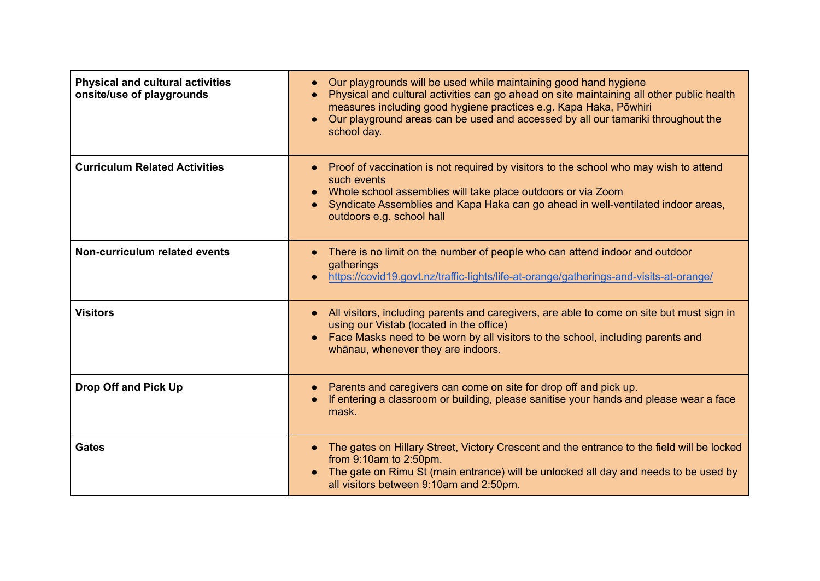| <b>Physical and cultural activities</b><br>onsite/use of playgrounds | Our playgrounds will be used while maintaining good hand hygiene<br>Physical and cultural activities can go ahead on site maintaining all other public health<br>measures including good hygiene practices e.g. Kapa Haka, Pōwhiri<br>Our playground areas can be used and accessed by all our tamariki throughout the<br>$\bullet$<br>school day. |
|----------------------------------------------------------------------|----------------------------------------------------------------------------------------------------------------------------------------------------------------------------------------------------------------------------------------------------------------------------------------------------------------------------------------------------|
| <b>Curriculum Related Activities</b>                                 | Proof of vaccination is not required by visitors to the school who may wish to attend<br>such events<br>Whole school assemblies will take place outdoors or via Zoom<br>Syndicate Assemblies and Kapa Haka can go ahead in well-ventilated indoor areas,<br>outdoors e.g. school hall                                                              |
| Non-curriculum related events                                        | There is no limit on the number of people who can attend indoor and outdoor<br>gatherings<br>https://covid19.govt.nz/traffic-lights/life-at-orange/gatherings-and-visits-at-orange/                                                                                                                                                                |
| <b>Visitors</b>                                                      | All visitors, including parents and caregivers, are able to come on site but must sign in<br>$\bullet$<br>using our Vistab (located in the office)<br>Face Masks need to be worn by all visitors to the school, including parents and<br>whānau, whenever they are indoors.                                                                        |
| Drop Off and Pick Up                                                 | Parents and caregivers can come on site for drop off and pick up.<br>If entering a classroom or building, please sanitise your hands and please wear a face<br>mask.                                                                                                                                                                               |
| <b>Gates</b>                                                         | The gates on Hillary Street, Victory Crescent and the entrance to the field will be locked<br>from 9:10am to 2:50pm.<br>The gate on Rimu St (main entrance) will be unlocked all day and needs to be used by<br>all visitors between 9:10am and 2:50pm.                                                                                            |